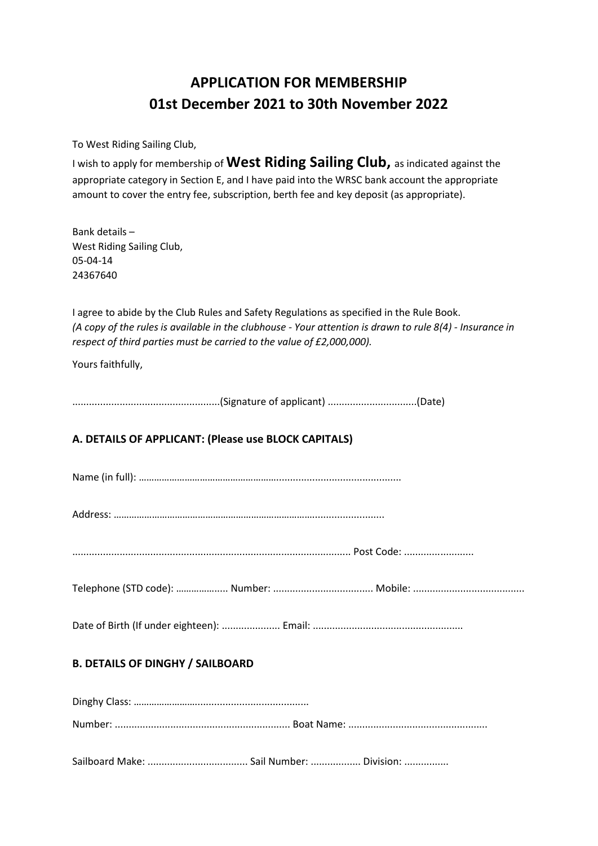## **APPLICATION FOR MEMBERSHIP 01st December 2021 to 30th November 2022**

To West Riding Sailing Club,

I wish to apply for membership of **West Riding Sailing Club,** as indicated against the appropriate category in Section E, and I have paid into the WRSC bank account the appropriate amount to cover the entry fee, subscription, berth fee and key deposit (as appropriate).

Bank details – West Riding Sailing Club, 05-04-14 24367640

I agree to abide by the Club Rules and Safety Regulations as specified in the Rule Book. *(A copy of the rules is available in the clubhouse - Your attention is drawn to rule 8(4) - Insurance in respect of third parties must be carried to the value of £2,000,000).*

Yours faithfully,

.....................................................(Signature of applicant) ................................(Date)

### **A. DETAILS OF APPLICANT: (Please use BLOCK CAPITALS)**

Name (in full): ……………………………………………….............................................

Address: ……………………………………………………………………..........................

.................................................................................................... Post Code: .........................

Telephone (STD code): ……………..... Number: .................................... Mobile: ........................................

Date of Birth (If under eighteen): ..................... Email: ......................................................

#### **B. DETAILS OF DINGHY / SAILBOARD**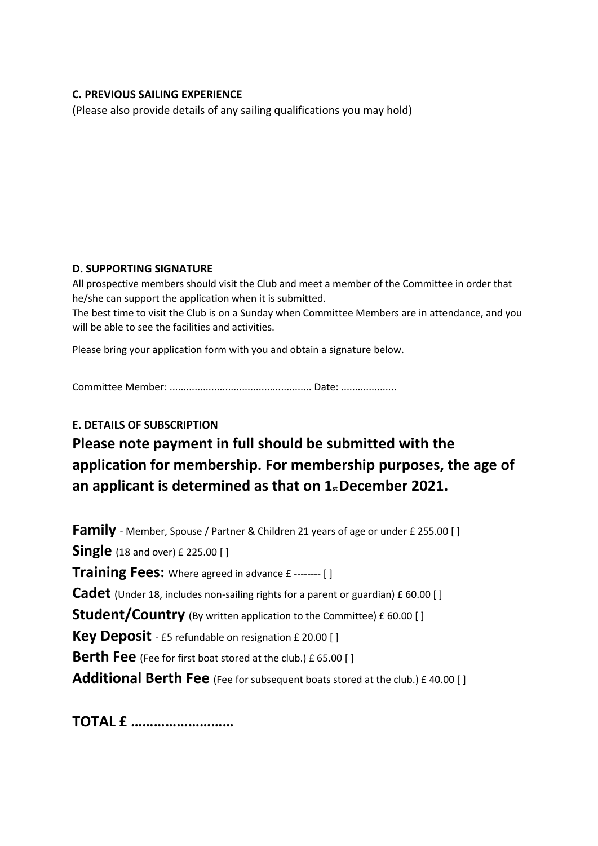#### **C. PREVIOUS SAILING EXPERIENCE**

(Please also provide details of any sailing qualifications you may hold)

#### **D. SUPPORTING SIGNATURE**

All prospective members should visit the Club and meet a member of the Committee in order that he/she can support the application when it is submitted.

The best time to visit the Club is on a Sunday when Committee Members are in attendance, and you will be able to see the facilities and activities.

Please bring your application form with you and obtain a signature below.

Committee Member: ................................................... Date: ....................

#### **E. DETAILS OF SUBSCRIPTION**

# **Please note payment in full should be submitted with the application for membership. For membership purposes, the age of an applicant is determined as that on 1st December 2021.**

**Family** - Member, Spouse / Partner & Children 21 years of age or under £ 255.00 [ ] **Single** (18 and over) £ 225.00 [ ] **Training Fees:** Where agreed in advance £ -------- [ ] **Cadet** (Under 18, includes non-sailing rights for a parent or guardian) £ 60.00 [ ] **Student/Country** (By written application to the Committee) £ 60.00 [ ] **Key Deposit** - £5 refundable on resignation £ 20.00 [ ] **Berth Fee** (Fee for first boat stored at the club.) £ 65.00 [ ] **Additional Berth Fee** (Fee for subsequent boats stored at the club.) £ 40.00 [ ]

**TOTAL £ ………………………**